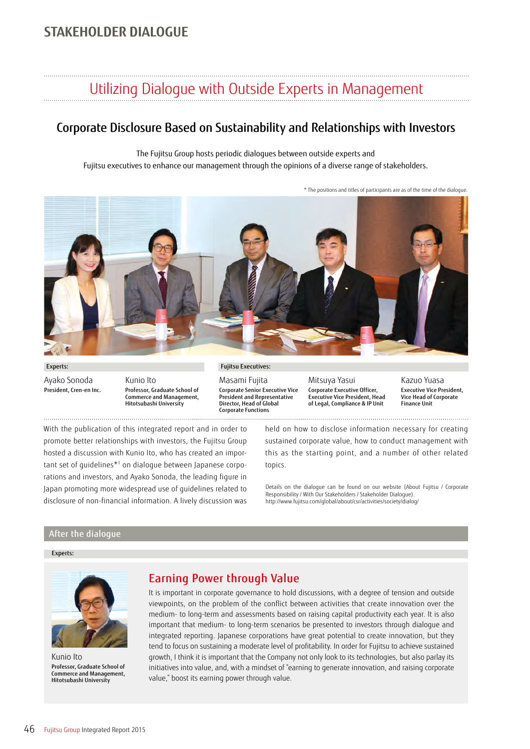## **STAKEHOLDER DIALOGUE**

# Utilizing Dialogue with Outside Experts in Management

### Corporate Disclosure Based on Sustainability and Relationships with Investors

The Fujitsu Group hosts periodic dialogues between outside experts and Fujitsu executives to enhance our management through the opinions of a diverse range of stakeholders.

\* The positions and titles of participants are as of the time of the dialogue.



Experts: Ayako Sonoda President, Cren-en Inc.

Kunio Ito Professor, Graduate School of Commerce and Management, Hitotsubashi University

Fujitsu Executives:

Masami Fujita Corporate Senior Executive Vice President and Representative Director, Head of Global Corporate Functions

Mitsuya Yasui Corporate Executive Officer, Executive Vice President, Head of Legal, Compliance & IP Unit

Kazuo Yuasa Executive Vice President, Vice Head of Corporate Finance Unit

With the publication of this integrated report and in order to promote better relationships with investors, the Fujitsu Group hosted a discussion with Kunio Ito, who has created an important set of guidelines\*1 on dialogue between Japanese corporations and investors, and Ayako Sonoda, the leading figure in Japan promoting more widespread use of guidelines related to disclosure of non-financial information. A lively discussion was held on how to disclose information necessary for creating sustained corporate value, how to conduct management with this as the starting point, and a number of other related topics.

Details on the dialogue can be found on our website (About Fujitsu / Corporate Responsibility / With Our Stakeholders / Stakeholder Dialogue). http://www.fujitsu.com/global/about/csr/activities/society/dialog/

#### After the dialogue

#### Experts:



Kunio Ito Professor, Graduate School of Commerce and Management, Hitotsubashi University

#### Earning Power through Value

It is important in corporate governance to hold discussions, with a degree of tension and outside viewpoints, on the problem of the conflict between activities that create innovation over the medium- to long-term and assessments based on raising capital productivity each year. It is also important that medium- to long-term scenarios be presented to investors through dialogue and integrated reporting. Japanese corporations have great potential to create innovation, but they tend to focus on sustaining a moderate level of profitability. In order for Fujitsu to achieve sustained growth, I think it is important that the Company not only look to its technologies, but also parlay its initiatives into value, and, with a mindset of "earning to generate innovation, and raising corporate value," boost its earning power through value.